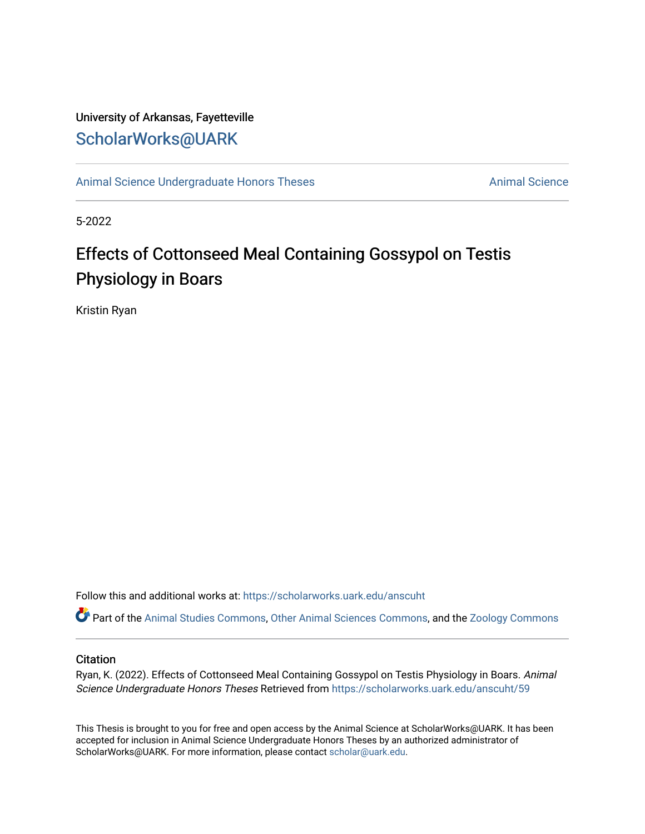## University of Arkansas, Fayetteville [ScholarWorks@UARK](https://scholarworks.uark.edu/)

[Animal Science Undergraduate Honors Theses](https://scholarworks.uark.edu/anscuht) [Animal Science](https://scholarworks.uark.edu/ansc) Animal Science

5-2022

# Effects of Cottonseed Meal Containing Gossypol on Testis Physiology in Boars

Kristin Ryan

Follow this and additional works at: [https://scholarworks.uark.edu/anscuht](https://scholarworks.uark.edu/anscuht?utm_source=scholarworks.uark.edu%2Fanscuht%2F59&utm_medium=PDF&utm_campaign=PDFCoverPages) 

Part of the [Animal Studies Commons,](http://network.bepress.com/hgg/discipline/1306?utm_source=scholarworks.uark.edu%2Fanscuht%2F59&utm_medium=PDF&utm_campaign=PDFCoverPages) [Other Animal Sciences Commons](http://network.bepress.com/hgg/discipline/82?utm_source=scholarworks.uark.edu%2Fanscuht%2F59&utm_medium=PDF&utm_campaign=PDFCoverPages), and the [Zoology Commons](http://network.bepress.com/hgg/discipline/81?utm_source=scholarworks.uark.edu%2Fanscuht%2F59&utm_medium=PDF&utm_campaign=PDFCoverPages) 

#### **Citation**

Ryan, K. (2022). Effects of Cottonseed Meal Containing Gossypol on Testis Physiology in Boars. Animal Science Undergraduate Honors Theses Retrieved from [https://scholarworks.uark.edu/anscuht/59](https://scholarworks.uark.edu/anscuht/59?utm_source=scholarworks.uark.edu%2Fanscuht%2F59&utm_medium=PDF&utm_campaign=PDFCoverPages)

This Thesis is brought to you for free and open access by the Animal Science at ScholarWorks@UARK. It has been accepted for inclusion in Animal Science Undergraduate Honors Theses by an authorized administrator of ScholarWorks@UARK. For more information, please contact [scholar@uark.edu](mailto:scholar@uark.edu).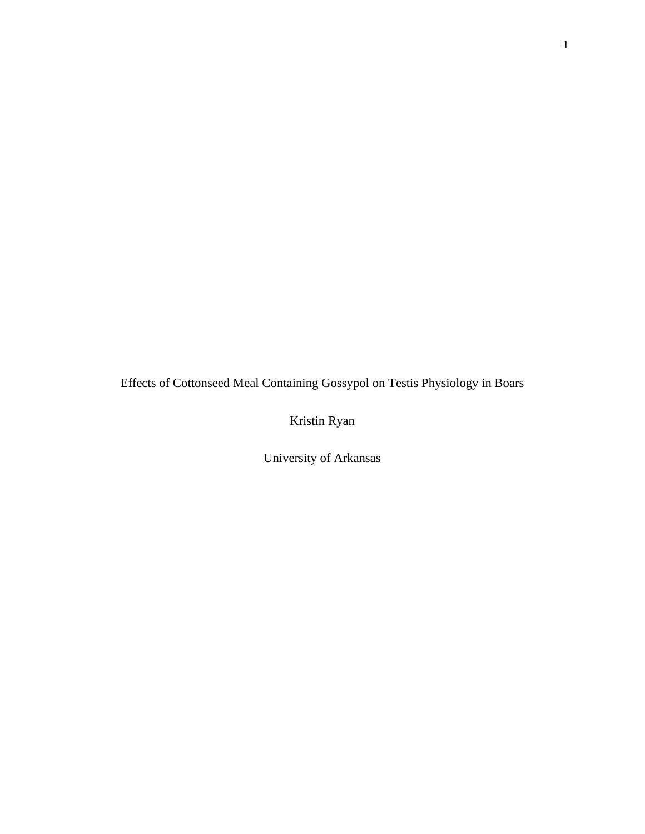Effects of Cottonseed Meal Containing Gossypol on Testis Physiology in Boars

Kristin Ryan

University of Arkansas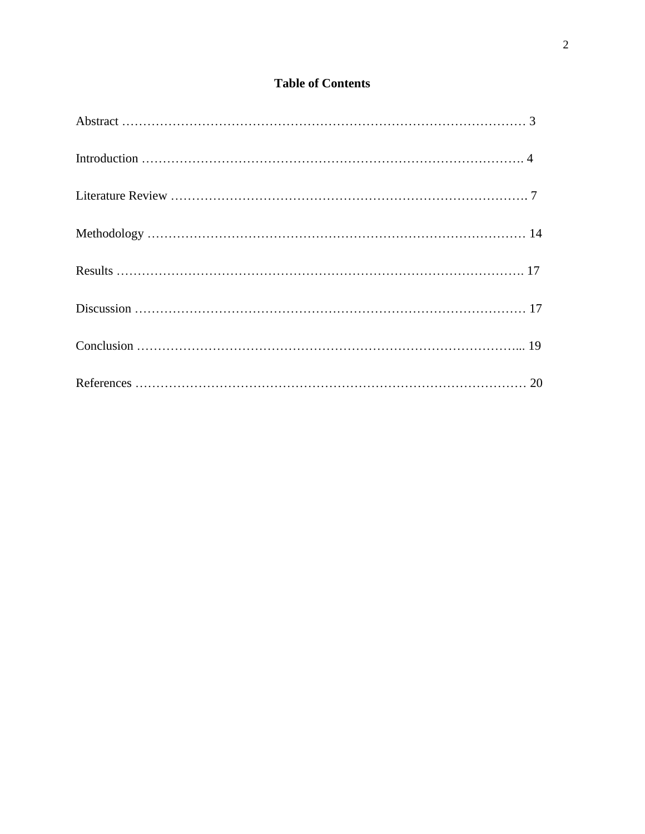### **Table of Contents**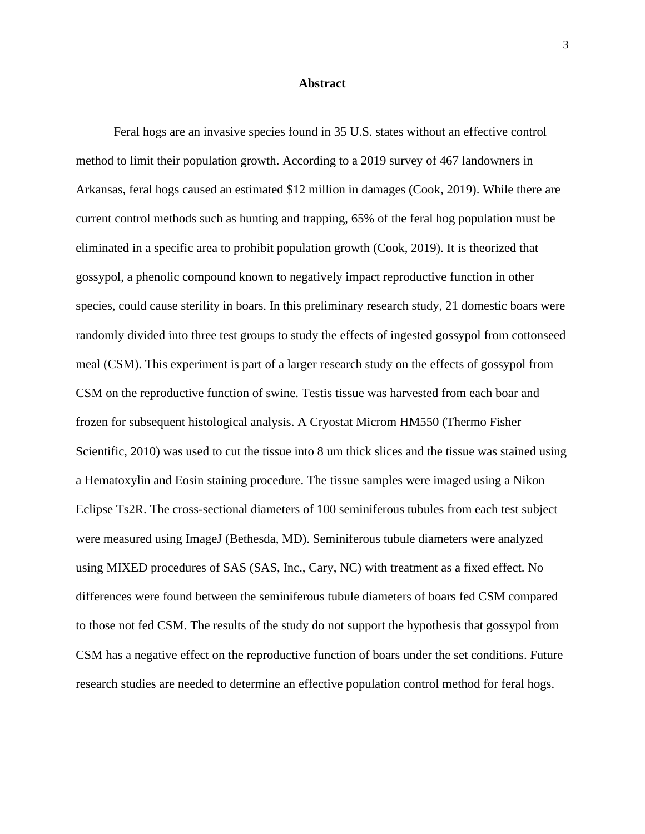#### **Abstract**

Feral hogs are an invasive species found in 35 U.S. states without an effective control method to limit their population growth. According to a 2019 survey of 467 landowners in Arkansas, feral hogs caused an estimated \$12 million in damages (Cook, 2019). While there are current control methods such as hunting and trapping, 65% of the feral hog population must be eliminated in a specific area to prohibit population growth (Cook, 2019). It is theorized that gossypol, a phenolic compound known to negatively impact reproductive function in other species, could cause sterility in boars. In this preliminary research study, 21 domestic boars were randomly divided into three test groups to study the effects of ingested gossypol from cottonseed meal (CSM). This experiment is part of a larger research study on the effects of gossypol from CSM on the reproductive function of swine. Testis tissue was harvested from each boar and frozen for subsequent histological analysis. A Cryostat Microm HM550 (Thermo Fisher Scientific, 2010) was used to cut the tissue into 8 um thick slices and the tissue was stained using a Hematoxylin and Eosin staining procedure. The tissue samples were imaged using a Nikon Eclipse Ts2R. The cross-sectional diameters of 100 seminiferous tubules from each test subject were measured using ImageJ (Bethesda, MD). Seminiferous tubule diameters were analyzed using MIXED procedures of SAS (SAS, Inc., Cary, NC) with treatment as a fixed effect. No differences were found between the seminiferous tubule diameters of boars fed CSM compared to those not fed CSM. The results of the study do not support the hypothesis that gossypol from CSM has a negative effect on the reproductive function of boars under the set conditions. Future research studies are needed to determine an effective population control method for feral hogs.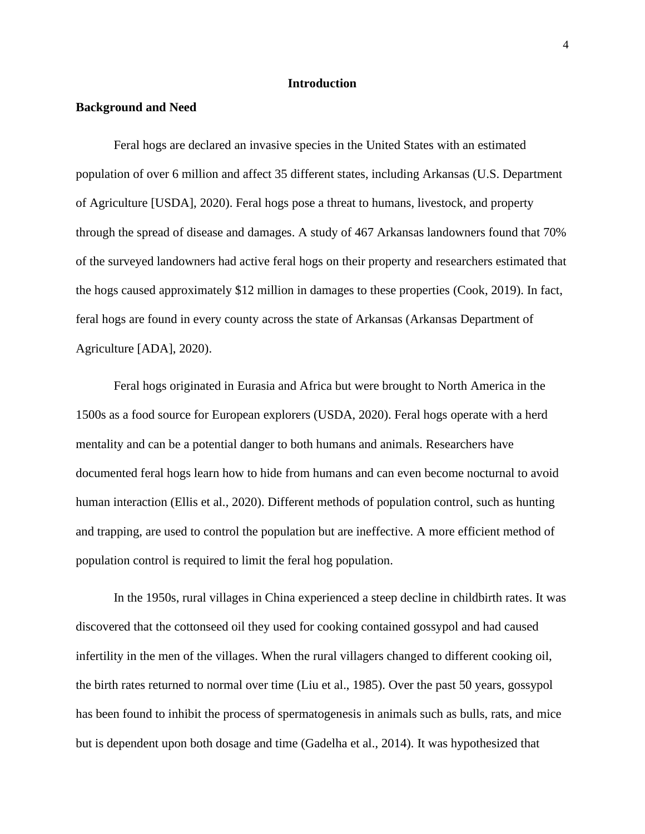#### **Introduction**

#### **Background and Need**

Feral hogs are declared an invasive species in the United States with an estimated population of over 6 million and affect 35 different states, including Arkansas (U.S. Department of Agriculture [USDA], 2020). Feral hogs pose a threat to humans, livestock, and property through the spread of disease and damages. A study of 467 Arkansas landowners found that 70% of the surveyed landowners had active feral hogs on their property and researchers estimated that the hogs caused approximately \$12 million in damages to these properties (Cook, 2019). In fact, feral hogs are found in every county across the state of Arkansas (Arkansas Department of Agriculture [ADA], 2020).

Feral hogs originated in Eurasia and Africa but were brought to North America in the 1500s as a food source for European explorers (USDA, 2020). Feral hogs operate with a herd mentality and can be a potential danger to both humans and animals. Researchers have documented feral hogs learn how to hide from humans and can even become nocturnal to avoid human interaction (Ellis et al., 2020). Different methods of population control, such as hunting and trapping, are used to control the population but are ineffective. A more efficient method of population control is required to limit the feral hog population.

In the 1950s, rural villages in China experienced a steep decline in childbirth rates. It was discovered that the cottonseed oil they used for cooking contained gossypol and had caused infertility in the men of the villages. When the rural villagers changed to different cooking oil, the birth rates returned to normal over time (Liu et al., 1985). Over the past 50 years, gossypol has been found to inhibit the process of spermatogenesis in animals such as bulls, rats, and mice but is dependent upon both dosage and time (Gadelha et al., 2014). It was hypothesized that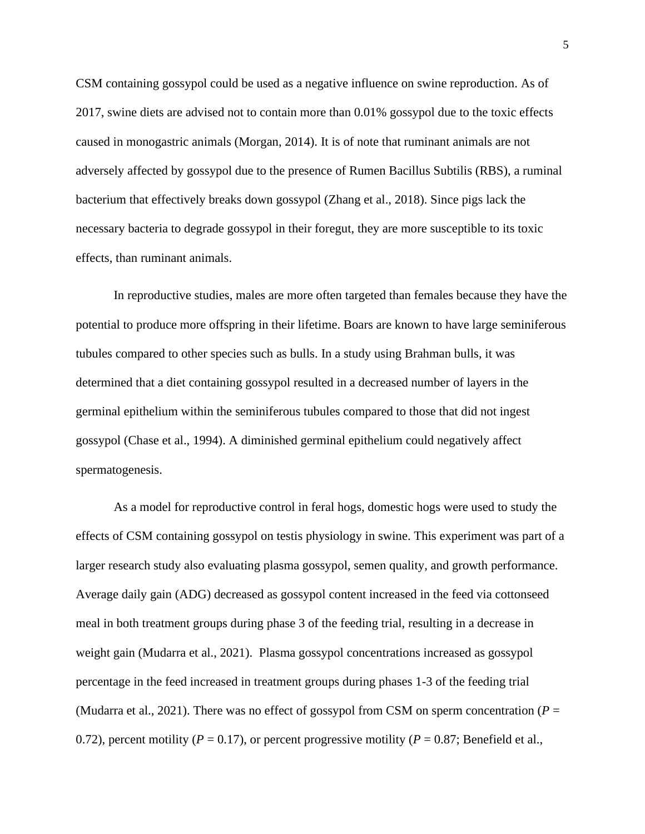CSM containing gossypol could be used as a negative influence on swine reproduction. As of 2017, swine diets are advised not to contain more than 0.01% gossypol due to the toxic effects caused in monogastric animals (Morgan, 2014). It is of note that ruminant animals are not adversely affected by gossypol due to the presence of Rumen Bacillus Subtilis (RBS), a ruminal bacterium that effectively breaks down gossypol (Zhang et al., 2018). Since pigs lack the necessary bacteria to degrade gossypol in their foregut, they are more susceptible to its toxic effects, than ruminant animals.

In reproductive studies, males are more often targeted than females because they have the potential to produce more offspring in their lifetime. Boars are known to have large seminiferous tubules compared to other species such as bulls. In a study using Brahman bulls, it was determined that a diet containing gossypol resulted in a decreased number of layers in the germinal epithelium within the seminiferous tubules compared to those that did not ingest gossypol (Chase et al., 1994). A diminished germinal epithelium could negatively affect spermatogenesis.

As a model for reproductive control in feral hogs, domestic hogs were used to study the effects of CSM containing gossypol on testis physiology in swine. This experiment was part of a larger research study also evaluating plasma gossypol, semen quality, and growth performance. Average daily gain (ADG) decreased as gossypol content increased in the feed via cottonseed meal in both treatment groups during phase 3 of the feeding trial, resulting in a decrease in weight gain (Mudarra et al., 2021). Plasma gossypol concentrations increased as gossypol percentage in the feed increased in treatment groups during phases 1-3 of the feeding trial (Mudarra et al., 2021). There was no effect of gossypol from CSM on sperm concentration ( $P =$ 0.72), percent motility ( $P = 0.17$ ), or percent progressive motility ( $P = 0.87$ ; Benefield et al.,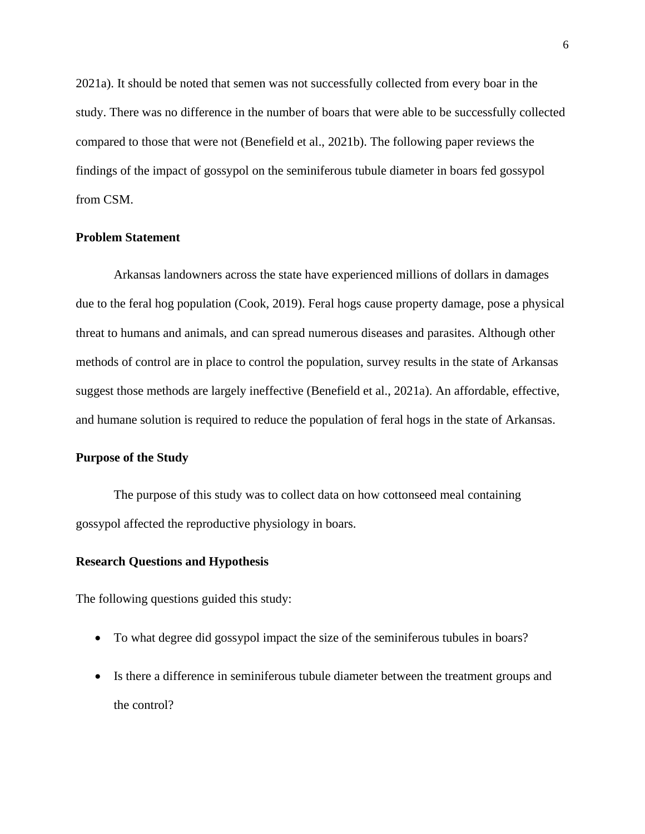2021a). It should be noted that semen was not successfully collected from every boar in the study. There was no difference in the number of boars that were able to be successfully collected compared to those that were not (Benefield et al., 2021b). The following paper reviews the findings of the impact of gossypol on the seminiferous tubule diameter in boars fed gossypol from CSM.

#### **Problem Statement**

Arkansas landowners across the state have experienced millions of dollars in damages due to the feral hog population (Cook, 2019). Feral hogs cause property damage, pose a physical threat to humans and animals, and can spread numerous diseases and parasites. Although other methods of control are in place to control the population, survey results in the state of Arkansas suggest those methods are largely ineffective (Benefield et al., 2021a). An affordable, effective, and humane solution is required to reduce the population of feral hogs in the state of Arkansas.

#### **Purpose of the Study**

The purpose of this study was to collect data on how cottonseed meal containing gossypol affected the reproductive physiology in boars.

#### **Research Questions and Hypothesis**

The following questions guided this study:

- To what degree did gossypol impact the size of the seminiferous tubules in boars?
- Is there a difference in seminiferous tubule diameter between the treatment groups and the control?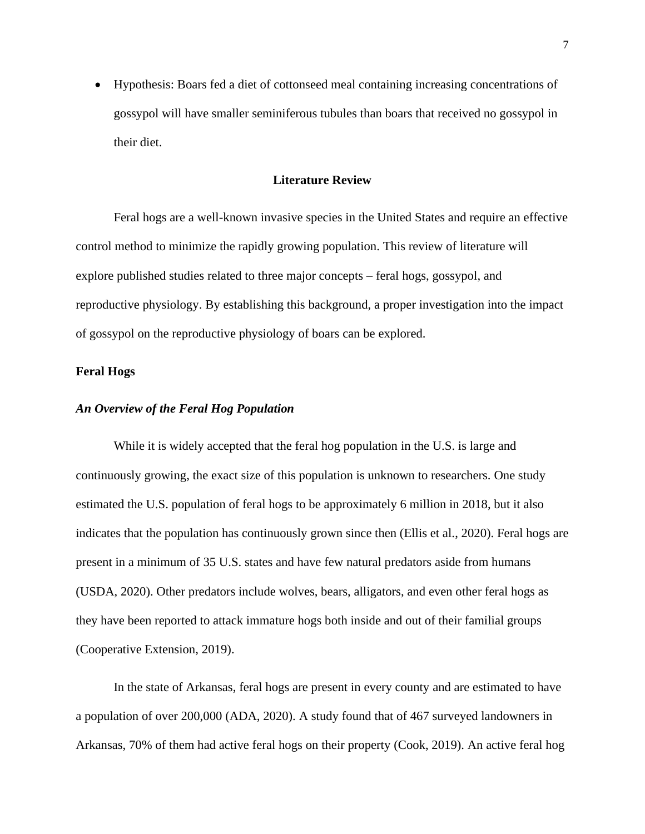• Hypothesis: Boars fed a diet of cottonseed meal containing increasing concentrations of gossypol will have smaller seminiferous tubules than boars that received no gossypol in their diet.

#### **Literature Review**

Feral hogs are a well-known invasive species in the United States and require an effective control method to minimize the rapidly growing population. This review of literature will explore published studies related to three major concepts – feral hogs, gossypol, and reproductive physiology. By establishing this background, a proper investigation into the impact of gossypol on the reproductive physiology of boars can be explored.

#### **Feral Hogs**

#### *An Overview of the Feral Hog Population*

While it is widely accepted that the feral hog population in the U.S. is large and continuously growing, the exact size of this population is unknown to researchers. One study estimated the U.S. population of feral hogs to be approximately 6 million in 2018, but it also indicates that the population has continuously grown since then (Ellis et al., 2020). Feral hogs are present in a minimum of 35 U.S. states and have few natural predators aside from humans (USDA, 2020). Other predators include wolves, bears, alligators, and even other feral hogs as they have been reported to attack immature hogs both inside and out of their familial groups (Cooperative Extension, 2019).

In the state of Arkansas, feral hogs are present in every county and are estimated to have a population of over 200,000 (ADA, 2020). A study found that of 467 surveyed landowners in Arkansas, 70% of them had active feral hogs on their property (Cook, 2019). An active feral hog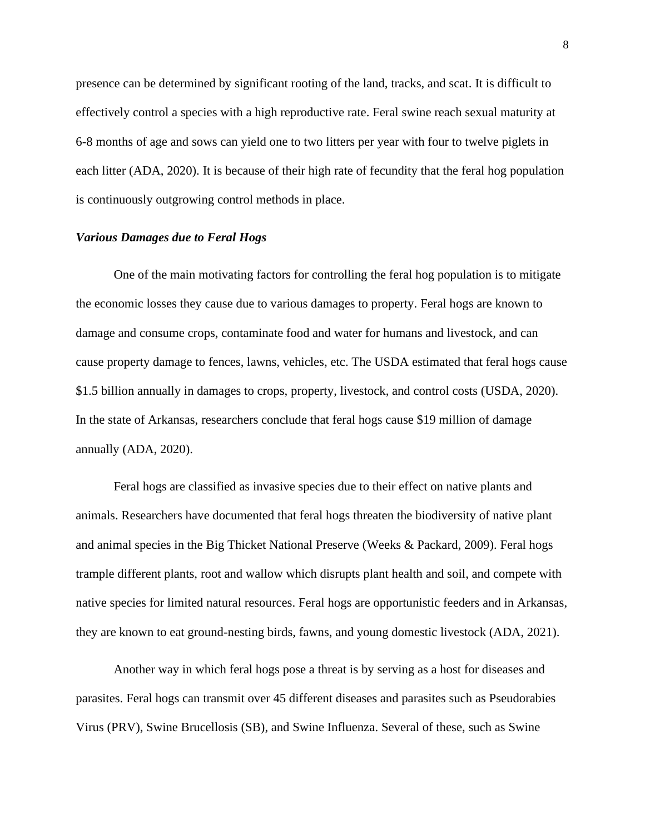presence can be determined by significant rooting of the land, tracks, and scat. It is difficult to effectively control a species with a high reproductive rate. Feral swine reach sexual maturity at 6-8 months of age and sows can yield one to two litters per year with four to twelve piglets in each litter (ADA, 2020). It is because of their high rate of fecundity that the feral hog population is continuously outgrowing control methods in place.

#### *Various Damages due to Feral Hogs*

One of the main motivating factors for controlling the feral hog population is to mitigate the economic losses they cause due to various damages to property. Feral hogs are known to damage and consume crops, contaminate food and water for humans and livestock, and can cause property damage to fences, lawns, vehicles, etc. The USDA estimated that feral hogs cause \$1.5 billion annually in damages to crops, property, livestock, and control costs (USDA, 2020). In the state of Arkansas, researchers conclude that feral hogs cause \$19 million of damage annually (ADA, 2020).

Feral hogs are classified as invasive species due to their effect on native plants and animals. Researchers have documented that feral hogs threaten the biodiversity of native plant and animal species in the Big Thicket National Preserve (Weeks & Packard, 2009). Feral hogs trample different plants, root and wallow which disrupts plant health and soil, and compete with native species for limited natural resources. Feral hogs are opportunistic feeders and in Arkansas, they are known to eat ground-nesting birds, fawns, and young domestic livestock (ADA, 2021).

Another way in which feral hogs pose a threat is by serving as a host for diseases and parasites. Feral hogs can transmit over 45 different diseases and parasites such as Pseudorabies Virus (PRV), Swine Brucellosis (SB), and Swine Influenza. Several of these, such as Swine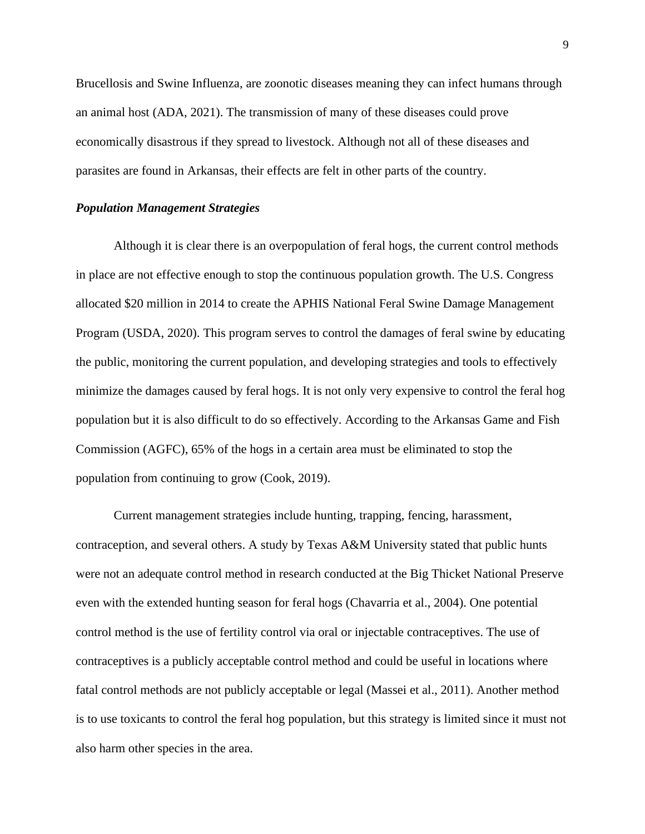Brucellosis and Swine Influenza, are zoonotic diseases meaning they can infect humans through an animal host (ADA, 2021). The transmission of many of these diseases could prove economically disastrous if they spread to livestock. Although not all of these diseases and parasites are found in Arkansas, their effects are felt in other parts of the country.

#### *Population Management Strategies*

Although it is clear there is an overpopulation of feral hogs, the current control methods in place are not effective enough to stop the continuous population growth. The U.S. Congress allocated \$20 million in 2014 to create the APHIS National Feral Swine Damage Management Program (USDA, 2020). This program serves to control the damages of feral swine by educating the public, monitoring the current population, and developing strategies and tools to effectively minimize the damages caused by feral hogs. It is not only very expensive to control the feral hog population but it is also difficult to do so effectively. According to the Arkansas Game and Fish Commission (AGFC), 65% of the hogs in a certain area must be eliminated to stop the population from continuing to grow (Cook, 2019).

Current management strategies include hunting, trapping, fencing, harassment, contraception, and several others. A study by Texas A&M University stated that public hunts were not an adequate control method in research conducted at the Big Thicket National Preserve even with the extended hunting season for feral hogs (Chavarria et al., 2004). One potential control method is the use of fertility control via oral or injectable contraceptives. The use of contraceptives is a publicly acceptable control method and could be useful in locations where fatal control methods are not publicly acceptable or legal (Massei et al., 2011). Another method is to use toxicants to control the feral hog population, but this strategy is limited since it must not also harm other species in the area.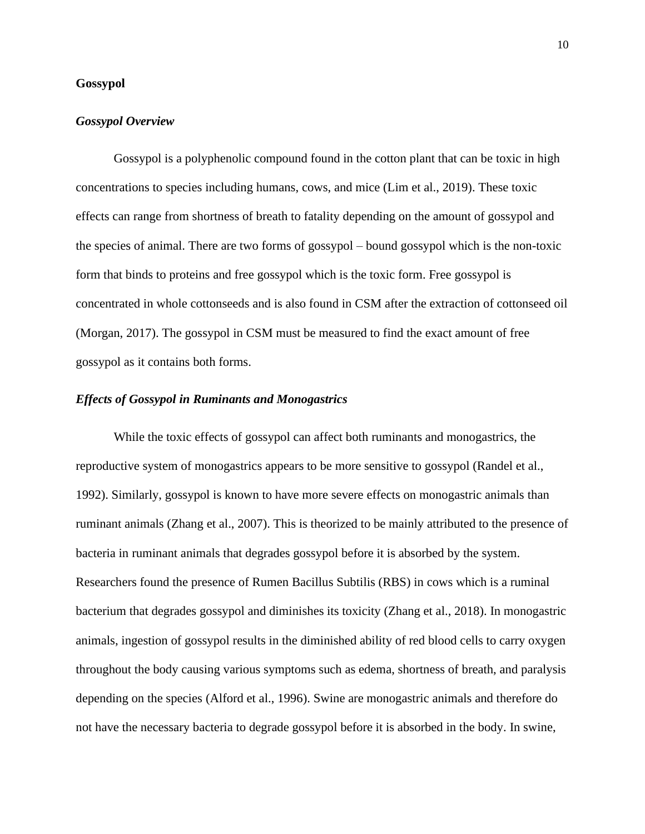#### **Gossypol**

#### *Gossypol Overview*

Gossypol is a polyphenolic compound found in the cotton plant that can be toxic in high concentrations to species including humans, cows, and mice (Lim et al., 2019). These toxic effects can range from shortness of breath to fatality depending on the amount of gossypol and the species of animal. There are two forms of gossypol – bound gossypol which is the non-toxic form that binds to proteins and free gossypol which is the toxic form. Free gossypol is concentrated in whole cottonseeds and is also found in CSM after the extraction of cottonseed oil (Morgan, 2017). The gossypol in CSM must be measured to find the exact amount of free gossypol as it contains both forms.

#### *Effects of Gossypol in Ruminants and Monogastrics*

While the toxic effects of gossypol can affect both ruminants and monogastrics, the reproductive system of monogastrics appears to be more sensitive to gossypol (Randel et al., 1992). Similarly, gossypol is known to have more severe effects on monogastric animals than ruminant animals (Zhang et al., 2007). This is theorized to be mainly attributed to the presence of bacteria in ruminant animals that degrades gossypol before it is absorbed by the system. Researchers found the presence of Rumen Bacillus Subtilis (RBS) in cows which is a ruminal bacterium that degrades gossypol and diminishes its toxicity (Zhang et al., 2018). In monogastric animals, ingestion of gossypol results in the diminished ability of red blood cells to carry oxygen throughout the body causing various symptoms such as edema, shortness of breath, and paralysis depending on the species (Alford et al., 1996). Swine are monogastric animals and therefore do not have the necessary bacteria to degrade gossypol before it is absorbed in the body. In swine,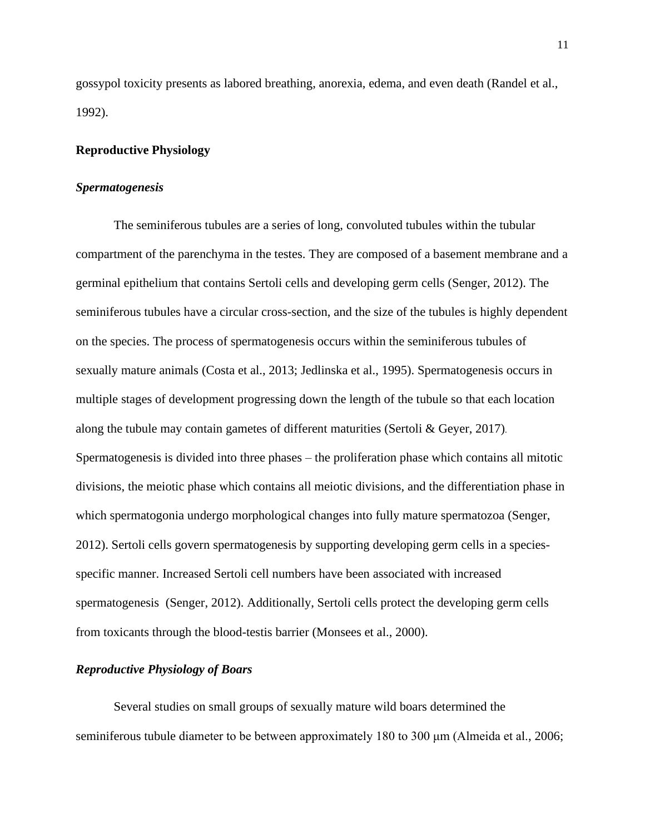gossypol toxicity presents as labored breathing, anorexia, edema, and even death (Randel et al., 1992).

#### **Reproductive Physiology**

#### *Spermatogenesis*

The seminiferous tubules are a series of long, convoluted tubules within the tubular compartment of the parenchyma in the testes. They are composed of a basement membrane and a germinal epithelium that contains Sertoli cells and developing germ cells (Senger, 2012). The seminiferous tubules have a circular cross-section, and the size of the tubules is highly dependent on the species. The process of spermatogenesis occurs within the seminiferous tubules of sexually mature animals (Costa et al., 2013; Jedlinska et al., 1995). Spermatogenesis occurs in multiple stages of development progressing down the length of the tubule so that each location along the tubule may contain gametes of different maturities (Sertoli & Geyer, 2017). Spermatogenesis is divided into three phases – the proliferation phase which contains all mitotic divisions, the meiotic phase which contains all meiotic divisions, and the differentiation phase in which spermatogonia undergo morphological changes into fully mature spermatozoa (Senger, 2012). Sertoli cells govern spermatogenesis by supporting developing germ cells in a speciesspecific manner. Increased Sertoli cell numbers have been associated with increased spermatogenesis (Senger, 2012). Additionally, Sertoli cells protect the developing germ cells from toxicants through the blood-testis barrier (Monsees et al., 2000).

#### *Reproductive Physiology of Boars*

Several studies on small groups of sexually mature wild boars determined the seminiferous tubule diameter to be between approximately 180 to 300 μm (Almeida et al., 2006;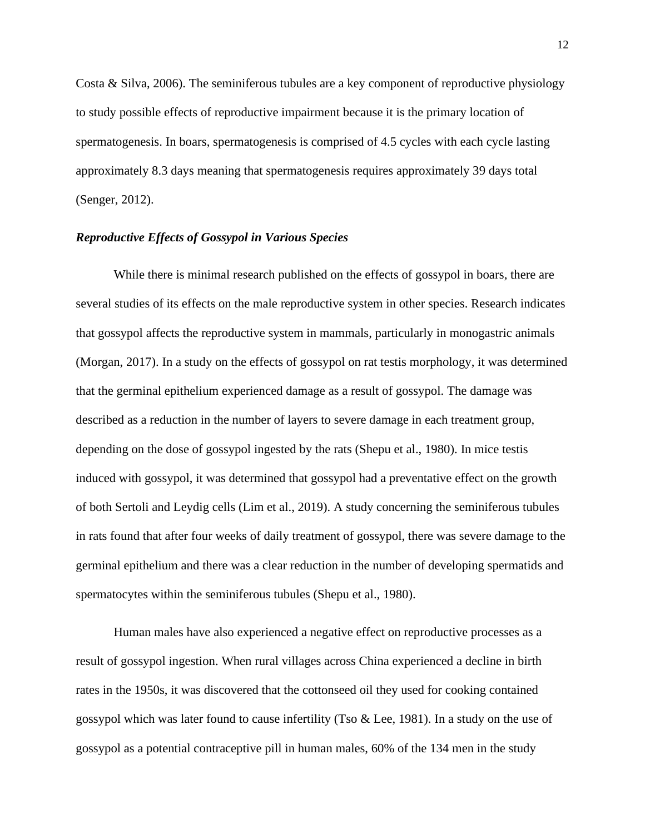Costa & Silva, 2006). The seminiferous tubules are a key component of reproductive physiology to study possible effects of reproductive impairment because it is the primary location of spermatogenesis. In boars, spermatogenesis is comprised of 4.5 cycles with each cycle lasting approximately 8.3 days meaning that spermatogenesis requires approximately 39 days total (Senger, 2012).

#### *Reproductive Effects of Gossypol in Various Species*

While there is minimal research published on the effects of gossypol in boars, there are several studies of its effects on the male reproductive system in other species. Research indicates that gossypol affects the reproductive system in mammals, particularly in monogastric animals (Morgan, 2017). In a study on the effects of gossypol on rat testis morphology, it was determined that the germinal epithelium experienced damage as a result of gossypol. The damage was described as a reduction in the number of layers to severe damage in each treatment group, depending on the dose of gossypol ingested by the rats (Shepu et al., 1980). In mice testis induced with gossypol, it was determined that gossypol had a preventative effect on the growth of both Sertoli and Leydig cells (Lim et al., 2019). A study concerning the seminiferous tubules in rats found that after four weeks of daily treatment of gossypol, there was severe damage to the germinal epithelium and there was a clear reduction in the number of developing spermatids and spermatocytes within the seminiferous tubules (Shepu et al., 1980).

Human males have also experienced a negative effect on reproductive processes as a result of gossypol ingestion. When rural villages across China experienced a decline in birth rates in the 1950s, it was discovered that the cottonseed oil they used for cooking contained gossypol which was later found to cause infertility (Tso & Lee, 1981). In a study on the use of gossypol as a potential contraceptive pill in human males, 60% of the 134 men in the study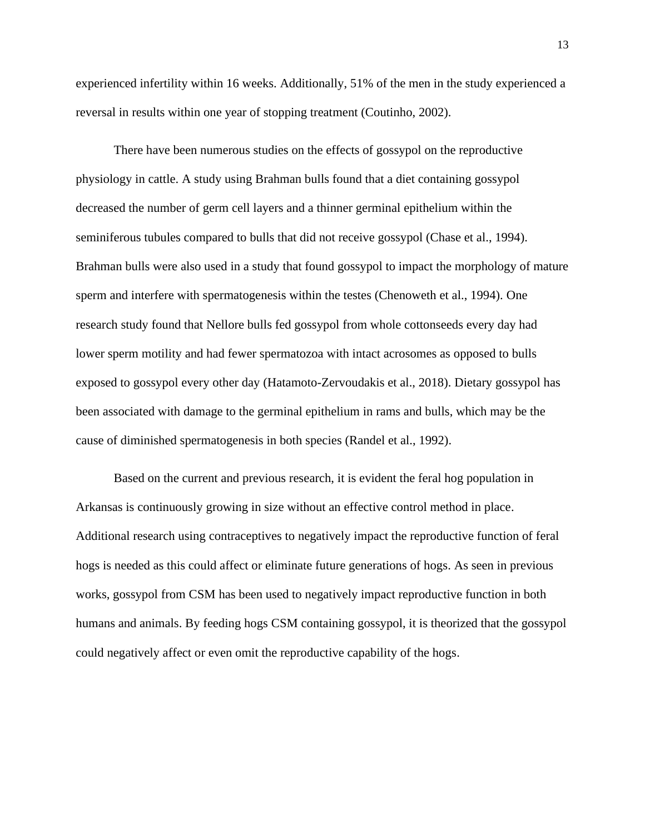experienced infertility within 16 weeks. Additionally, 51% of the men in the study experienced a reversal in results within one year of stopping treatment (Coutinho, 2002).

There have been numerous studies on the effects of gossypol on the reproductive physiology in cattle. A study using Brahman bulls found that a diet containing gossypol decreased the number of germ cell layers and a thinner germinal epithelium within the seminiferous tubules compared to bulls that did not receive gossypol (Chase et al., 1994). Brahman bulls were also used in a study that found gossypol to impact the morphology of mature sperm and interfere with spermatogenesis within the testes (Chenoweth et al., 1994). One research study found that Nellore bulls fed gossypol from whole cottonseeds every day had lower sperm motility and had fewer spermatozoa with intact acrosomes as opposed to bulls exposed to gossypol every other day (Hatamoto-Zervoudakis et al., 2018). Dietary gossypol has been associated with damage to the germinal epithelium in rams and bulls, which may be the cause of diminished spermatogenesis in both species (Randel et al., 1992).

Based on the current and previous research, it is evident the feral hog population in Arkansas is continuously growing in size without an effective control method in place. Additional research using contraceptives to negatively impact the reproductive function of feral hogs is needed as this could affect or eliminate future generations of hogs. As seen in previous works, gossypol from CSM has been used to negatively impact reproductive function in both humans and animals. By feeding hogs CSM containing gossypol, it is theorized that the gossypol could negatively affect or even omit the reproductive capability of the hogs.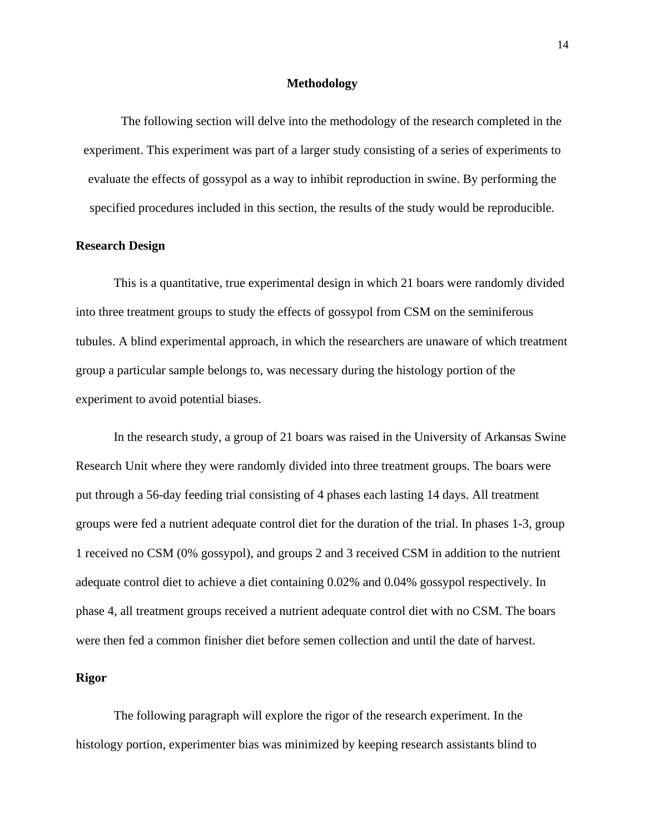#### **Methodology**

The following section will delve into the methodology of the research completed in the experiment. This experiment was part of a larger study consisting of a series of experiments to evaluate the effects of gossypol as a way to inhibit reproduction in swine. By performing the specified procedures included in this section, the results of the study would be reproducible.

#### **Research Design**

This is a quantitative, true experimental design in which 21 boars were randomly divided into three treatment groups to study the effects of gossypol from CSM on the seminiferous tubules. A blind experimental approach, in which the researchers are unaware of which treatment group a particular sample belongs to, was necessary during the histology portion of the experiment to avoid potential biases.

In the research study, a group of 21 boars was raised in the University of Arkansas Swine Research Unit where they were randomly divided into three treatment groups. The boars were put through a 56-day feeding trial consisting of 4 phases each lasting 14 days. All treatment groups were fed a nutrient adequate control diet for the duration of the trial. In phases 1-3, group 1 received no CSM (0% gossypol), and groups 2 and 3 received CSM in addition to the nutrient adequate control diet to achieve a diet containing 0.02% and 0.04% gossypol respectively. In phase 4, all treatment groups received a nutrient adequate control diet with no CSM. The boars were then fed a common finisher diet before semen collection and until the date of harvest.

#### **Rigor**

The following paragraph will explore the rigor of the research experiment. In the histology portion, experimenter bias was minimized by keeping research assistants blind to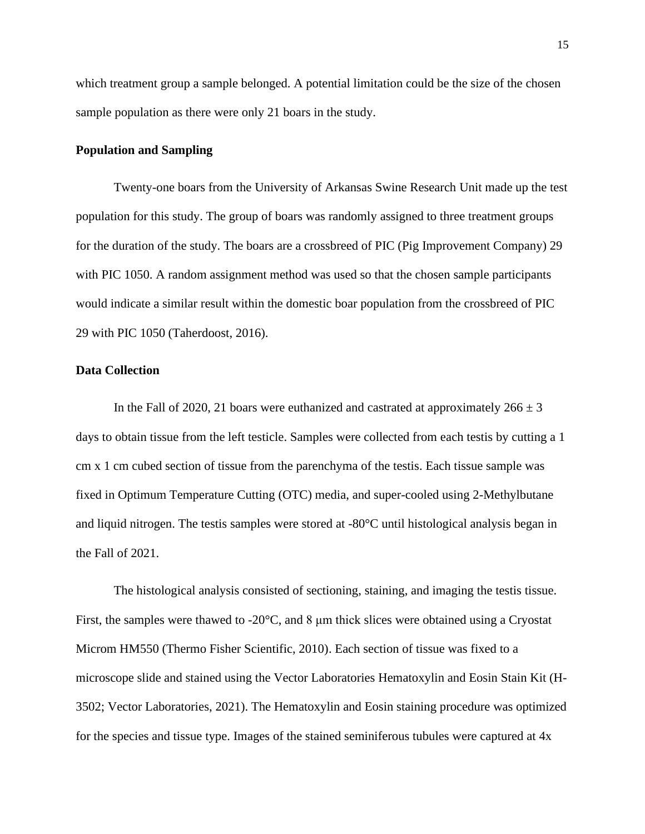which treatment group a sample belonged. A potential limitation could be the size of the chosen sample population as there were only 21 boars in the study.

#### **Population and Sampling**

Twenty-one boars from the University of Arkansas Swine Research Unit made up the test population for this study. The group of boars was randomly assigned to three treatment groups for the duration of the study. The boars are a crossbreed of PIC (Pig Improvement Company) 29 with PIC 1050. A random assignment method was used so that the chosen sample participants would indicate a similar result within the domestic boar population from the crossbreed of PIC 29 with PIC 1050 (Taherdoost, 2016).

#### **Data Collection**

In the Fall of 2020, 21 boars were euthanized and castrated at approximately  $266 \pm 3$ days to obtain tissue from the left testicle. Samples were collected from each testis by cutting a 1 cm x 1 cm cubed section of tissue from the parenchyma of the testis. Each tissue sample was fixed in Optimum Temperature Cutting (OTC) media, and super-cooled using 2-Methylbutane and liquid nitrogen. The testis samples were stored at -80°C until histological analysis began in the Fall of 2021.

The histological analysis consisted of sectioning, staining, and imaging the testis tissue. First, the samples were thawed to -20°C, and 8 μm thick slices were obtained using a Cryostat Microm HM550 (Thermo Fisher Scientific, 2010). Each section of tissue was fixed to a microscope slide and stained using the Vector Laboratories Hematoxylin and Eosin Stain Kit (H-3502; Vector Laboratories, 2021). The Hematoxylin and Eosin staining procedure was optimized for the species and tissue type. Images of the stained seminiferous tubules were captured at 4x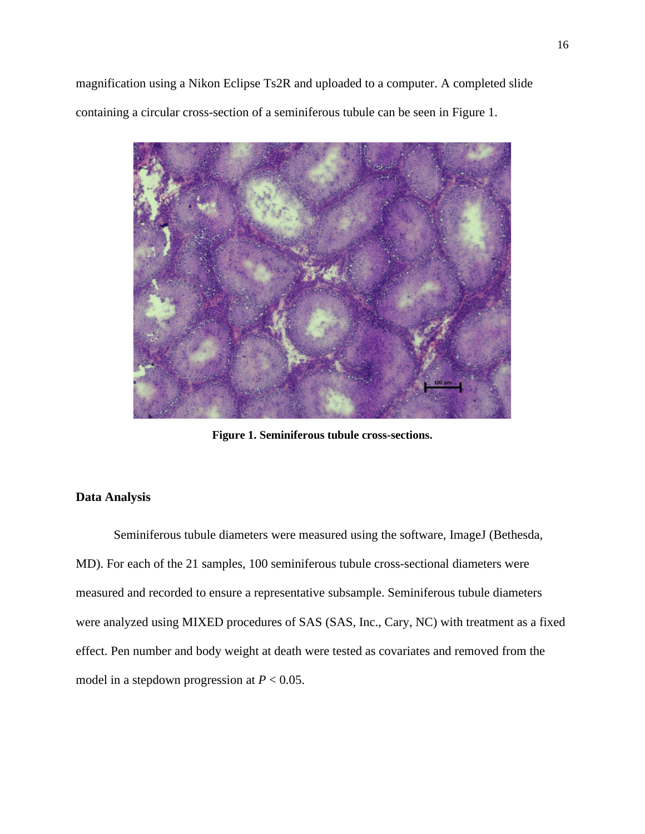magnification using a Nikon Eclipse Ts2R and uploaded to a computer. A completed slide containing a circular cross-section of a seminiferous tubule can be seen in Figure 1.



**Figure 1. Seminiferous tubule cross-sections.**

#### **Data Analysis**

Seminiferous tubule diameters were measured using the software, ImageJ (Bethesda, MD). For each of the 21 samples, 100 seminiferous tubule cross-sectional diameters were measured and recorded to ensure a representative subsample. Seminiferous tubule diameters were analyzed using MIXED procedures of SAS (SAS, Inc., Cary, NC) with treatment as a fixed effect. Pen number and body weight at death were tested as covariates and removed from the model in a stepdown progression at  $P < 0.05$ .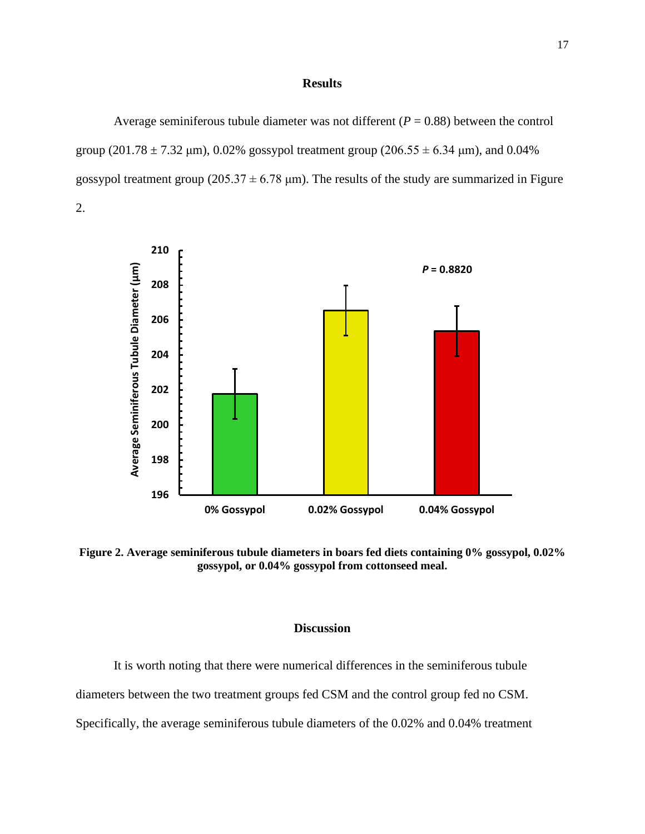#### **Results**

Average seminiferous tubule diameter was not different  $(P = 0.88)$  between the control group (201.78  $\pm$  7.32 µm), 0.02% gossypol treatment group (206.55  $\pm$  6.34 µm), and 0.04% gossypol treatment group ( $205.37 \pm 6.78$  µm). The results of the study are summarized in Figure 2.



**Figure 2. Average seminiferous tubule diameters in boars fed diets containing 0% gossypol, 0.02% gossypol, or 0.04% gossypol from cottonseed meal.**

#### **Discussion**

It is worth noting that there were numerical differences in the seminiferous tubule diameters between the two treatment groups fed CSM and the control group fed no CSM. Specifically, the average seminiferous tubule diameters of the 0.02% and 0.04% treatment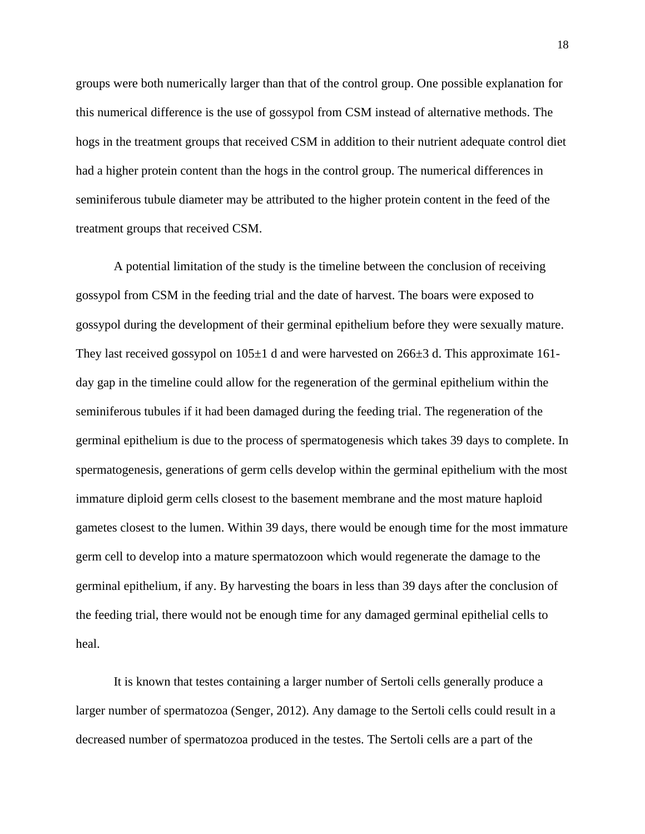groups were both numerically larger than that of the control group. One possible explanation for this numerical difference is the use of gossypol from CSM instead of alternative methods. The hogs in the treatment groups that received CSM in addition to their nutrient adequate control diet had a higher protein content than the hogs in the control group. The numerical differences in seminiferous tubule diameter may be attributed to the higher protein content in the feed of the treatment groups that received CSM.

A potential limitation of the study is the timeline between the conclusion of receiving gossypol from CSM in the feeding trial and the date of harvest. The boars were exposed to gossypol during the development of their germinal epithelium before they were sexually mature. They last received gossypol on  $105\pm1$  d and were harvested on  $266\pm3$  d. This approximate 161day gap in the timeline could allow for the regeneration of the germinal epithelium within the seminiferous tubules if it had been damaged during the feeding trial. The regeneration of the germinal epithelium is due to the process of spermatogenesis which takes 39 days to complete. In spermatogenesis, generations of germ cells develop within the germinal epithelium with the most immature diploid germ cells closest to the basement membrane and the most mature haploid gametes closest to the lumen. Within 39 days, there would be enough time for the most immature germ cell to develop into a mature spermatozoon which would regenerate the damage to the germinal epithelium, if any. By harvesting the boars in less than 39 days after the conclusion of the feeding trial, there would not be enough time for any damaged germinal epithelial cells to heal.

It is known that testes containing a larger number of Sertoli cells generally produce a larger number of spermatozoa (Senger, 2012). Any damage to the Sertoli cells could result in a decreased number of spermatozoa produced in the testes. The Sertoli cells are a part of the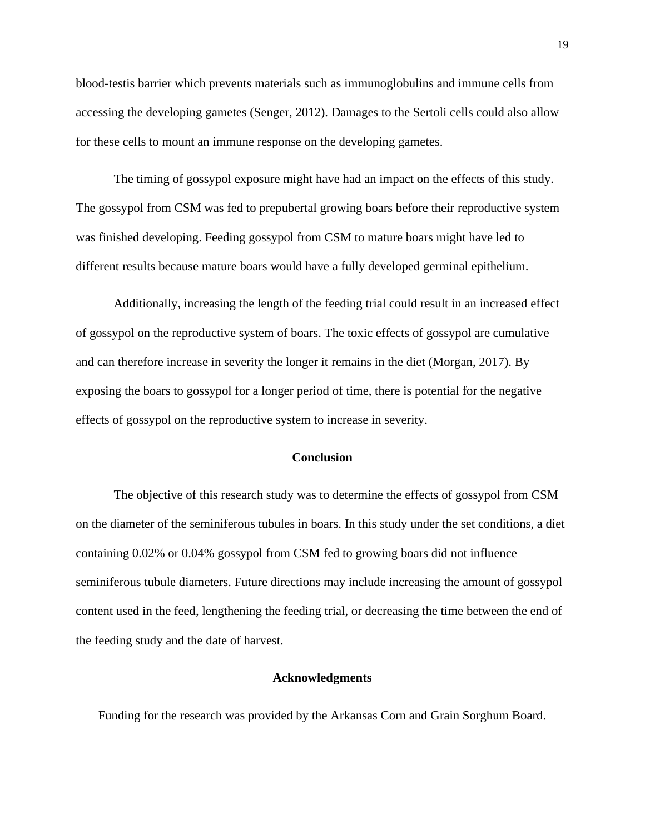blood-testis barrier which prevents materials such as immunoglobulins and immune cells from accessing the developing gametes (Senger, 2012). Damages to the Sertoli cells could also allow for these cells to mount an immune response on the developing gametes.

The timing of gossypol exposure might have had an impact on the effects of this study. The gossypol from CSM was fed to prepubertal growing boars before their reproductive system was finished developing. Feeding gossypol from CSM to mature boars might have led to different results because mature boars would have a fully developed germinal epithelium.

Additionally, increasing the length of the feeding trial could result in an increased effect of gossypol on the reproductive system of boars. The toxic effects of gossypol are cumulative and can therefore increase in severity the longer it remains in the diet (Morgan, 2017). By exposing the boars to gossypol for a longer period of time, there is potential for the negative effects of gossypol on the reproductive system to increase in severity.

#### **Conclusion**

The objective of this research study was to determine the effects of gossypol from CSM on the diameter of the seminiferous tubules in boars. In this study under the set conditions, a diet containing 0.02% or 0.04% gossypol from CSM fed to growing boars did not influence seminiferous tubule diameters. Future directions may include increasing the amount of gossypol content used in the feed, lengthening the feeding trial, or decreasing the time between the end of the feeding study and the date of harvest.

#### **Acknowledgments**

Funding for the research was provided by the Arkansas Corn and Grain Sorghum Board.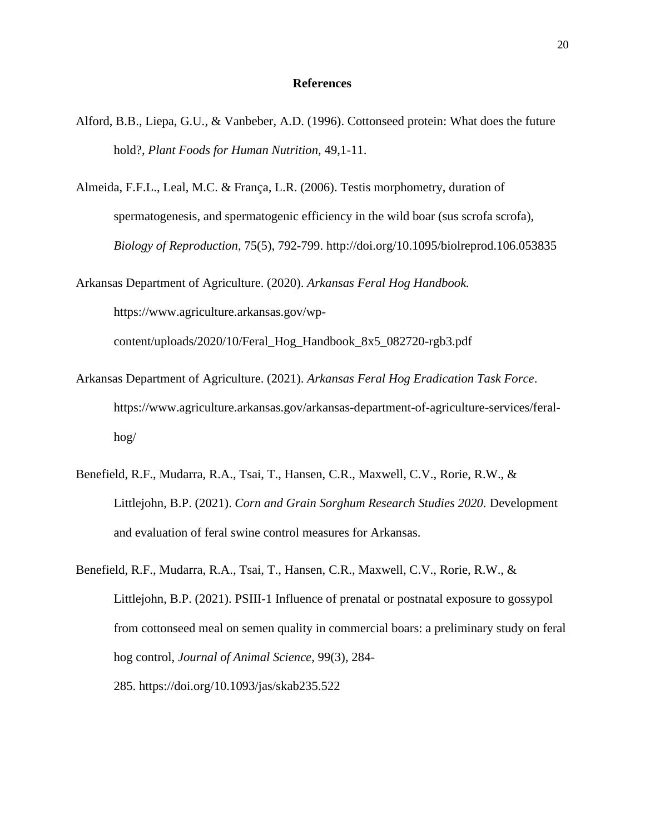#### **References**

- Alford, B.B., Liepa, G.U., & Vanbeber, A.D. (1996). Cottonseed protein: What does the future hold?, *Plant Foods for Human Nutrition,* 49,1-11.
- Almeida, F.F.L., Leal, M.C. & França, L.R. (2006). Testis morphometry, duration of spermatogenesis, and spermatogenic efficiency in the wild boar (sus scrofa scrofa), *Biology of Reproduction*, 75(5), 792-799. http://doi.org/10.1095/biolreprod.106.053835
- Arkansas Department of Agriculture. (2020). *Arkansas Feral Hog Handbook.* https://www.agriculture.arkansas.gov/wpcontent/uploads/2020/10/Feral\_Hog\_Handbook\_8x5\_082720-rgb3.pdf
- Arkansas Department of Agriculture. (2021). *Arkansas Feral Hog Eradication Task Force*. https://www.agriculture.arkansas.gov/arkansas-department-of-agriculture-services/feralhog/
- Benefield, R.F., Mudarra, R.A., Tsai, T., Hansen, C.R., Maxwell, C.V., Rorie, R.W., & Littlejohn, B.P. (2021). *Corn and Grain Sorghum Research Studies 2020.* Development and evaluation of feral swine control measures for Arkansas.
- Benefield, R.F., Mudarra, R.A., Tsai, T., Hansen, C.R., Maxwell, C.V., Rorie, R.W., & Littlejohn, B.P. (2021). PSIII-1 Influence of prenatal or postnatal exposure to gossypol from cottonseed meal on semen quality in commercial boars: a preliminary study on feral hog control, *Journal of Animal Science*, 99(3), 284- 285. <https://doi.org/10.1093/jas/skab235.522>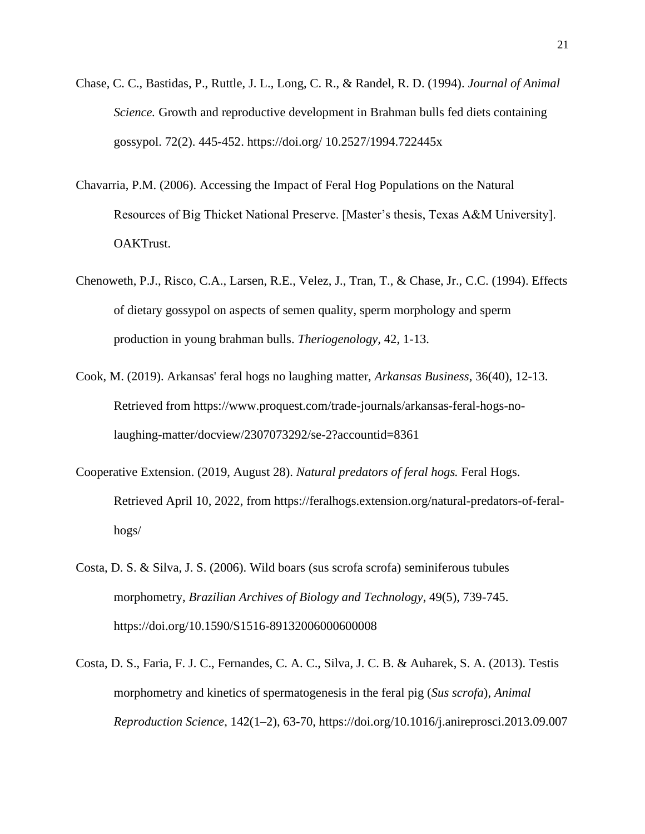- Chase, C. C., Bastidas, P., Ruttle, J. L., Long, C. R., & Randel, R. D. (1994). *Journal of Animal Science.* Growth and reproductive development in Brahman bulls fed diets containing gossypol. 72(2). 445-452. https://doi.org/ [10.2527/1994.722445x](https://doi.org/10.2527/1994.722445x)
- Chavarria, P.M. (2006). Accessing the Impact of Feral Hog Populations on the Natural Resources of Big Thicket National Preserve. [Master's thesis, Texas A&M University]. OAKTrust.
- Chenoweth, P.J., Risco, C.A., Larsen, R.E., Velez, J., Tran, T., & Chase, Jr., C.C. (1994). Effects of dietary gossypol on aspects of semen quality, sperm morphology and sperm production in young brahman bulls. *Theriogenology,* 42, 1-13.
- Cook, M. (2019). Arkansas' feral hogs no laughing matter, *Arkansas Business*, 36(40), 12-13. Retrieved from https://www.proquest.com/trade-journals/arkansas-feral-hogs-nolaughing-matter/docview/2307073292/se-2?accountid=8361
- Cooperative Extension. (2019, August 28). *Natural predators of feral hogs.* Feral Hogs. Retrieved April 10, 2022, from https://feralhogs.extension.org/natural-predators-of-feralhogs/
- Costa, D. S. & Silva, J. S. (2006). Wild boars (sus scrofa scrofa) seminiferous tubules morphometry, *Brazilian Archives of Biology and Technology*, 49(5), 739-745. <https://doi.org/10.1590/S1516-89132006000600008>
- Costa, D. S., Faria, F. J. C., Fernandes, C. A. C., Silva, J. C. B. & Auharek, S. A. (2013). Testis morphometry and kinetics of spermatogenesis in the feral pig (*Sus scrofa*), *Animal Reproduction Science*, 142(1–2), 63-70, https://doi.org/10.1016/j.anireprosci.2013.09.007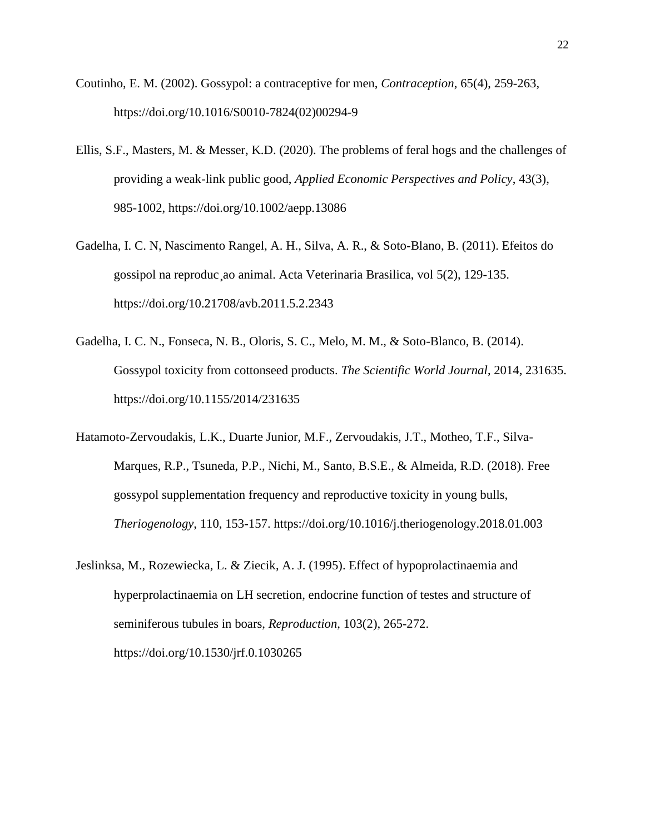- Coutinho, E. M. (2002). Gossypol: a contraceptive for men, *Contraception*, 65(4), 259-263, [https://doi.org/10.1016/S0010-7824\(02\)00294-9](https://doi.org/10.1016/S0010-7824(02)00294-9)
- Ellis, S.F., Masters, M. & Messer, K.D. (2020). The problems of feral hogs and the challenges of providing a weak-link public good, *Applied Economic Perspectives and Policy*, 43(3), 985-1002, https://doi.org/10.1002/aepp.13086
- Gadelha, I. C. N, Nascimento Rangel, A. H., Silva, A. R., & Soto-Blano, B. (2011). Efeitos do gossipol na reproduc¸ao animal. Acta Veterinaria Brasilica, vol 5(2), 129-135. <https://doi.org/10.21708/avb.2011.5.2.2343>
- Gadelha, I. C. N., Fonseca, N. B., Oloris, S. C., Melo, M. M., & Soto-Blanco, B. (2014). Gossypol toxicity from cottonseed products. *The Scientific World Journal*, 2014, 231635. https://doi.org/10.1155/2014/231635
- Hatamoto-Zervoudakis, L.K., Duarte Junior, M.F., Zervoudakis, J.T., Motheo, T.F., Silva-Marques, R.P., Tsuneda, P.P., Nichi, M., Santo, B.S.E., & Almeida, R.D. (2018). Free gossypol supplementation frequency and reproductive toxicity in young bulls, *Theriogenology*, 110, 153-157. https://doi.org/10.1016/j.theriogenology.2018.01.003
- Jeslinksa, M., Rozewiecka, L. & Ziecik, A. J. (1995). Effect of hypoprolactinaemia and hyperprolactinaemia on LH secretion, endocrine function of testes and structure of seminiferous tubules in boars, *Reproduction*, 103(2), 265-272. https://doi.org/10.1530/jrf.0.1030265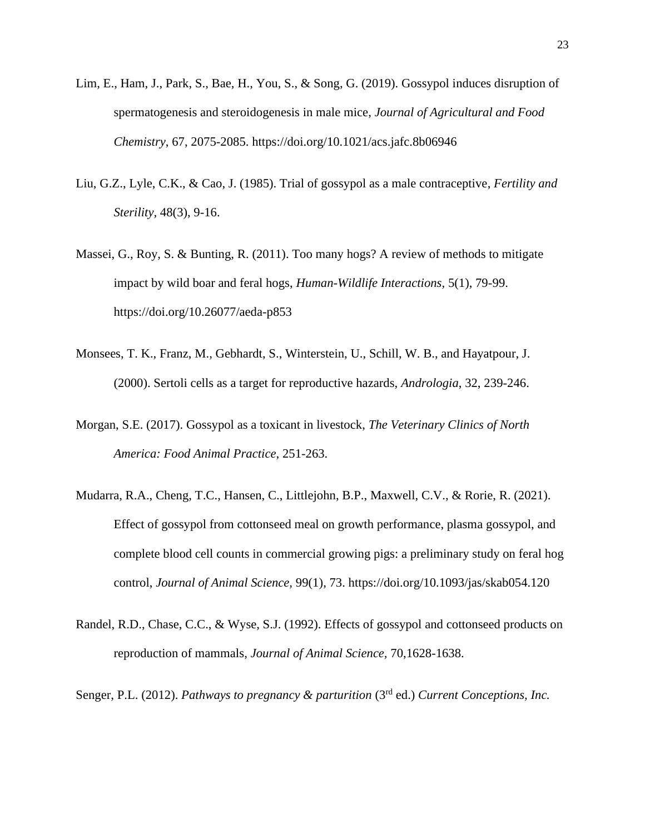- Lim, E., Ham, J., Park, S., Bae, H., You, S., & Song, G. (2019). Gossypol induces disruption of spermatogenesis and steroidogenesis in male mice, *Journal of Agricultural and Food Chemistry*, 67, 2075-2085. <https://doi.org/10.1021/acs.jafc.8b06946>
- Liu, G.Z., Lyle, C.K., & Cao, J. (1985). Trial of gossypol as a male contraceptive, *Fertility and Sterility,* 48(3), 9-16.
- Massei, G., Roy, S. & Bunting, R. (2011). Too many hogs? A review of methods to mitigate impact by wild boar and feral hogs, *Human-Wildlife Interactions*, 5(1), 79-99. <https://doi.org/10.26077/aeda-p853>
- Monsees, T. K., Franz, M., Gebhardt, S., Winterstein, U., Schill, W. B., and Hayatpour, J. (2000). Sertoli cells as a target for reproductive hazards, *Andrologia*, 32, 239-246.
- Morgan, S.E. (2017). Gossypol as a toxicant in livestock, *The Veterinary Clinics of North America: Food Animal Practice*, 251-263.
- Mudarra, R.A., Cheng, T.C., Hansen, C., Littlejohn, B.P., Maxwell, C.V., & Rorie, R. (2021). Effect of gossypol from cottonseed meal on growth performance, plasma gossypol, and complete blood cell counts in commercial growing pigs: a preliminary study on feral hog control, *Journal of Animal Science,* 99(1), 73.<https://doi.org/10.1093/jas/skab054.120>
- Randel, R.D., Chase, C.C., & Wyse, S.J. (1992). Effects of gossypol and cottonseed products on reproduction of mammals, *Journal of Animal Science,* 70,1628-1638.

Senger, P.L. (2012). *Pathways to pregnancy & parturition* (3rd ed.) *Current Conceptions, Inc.*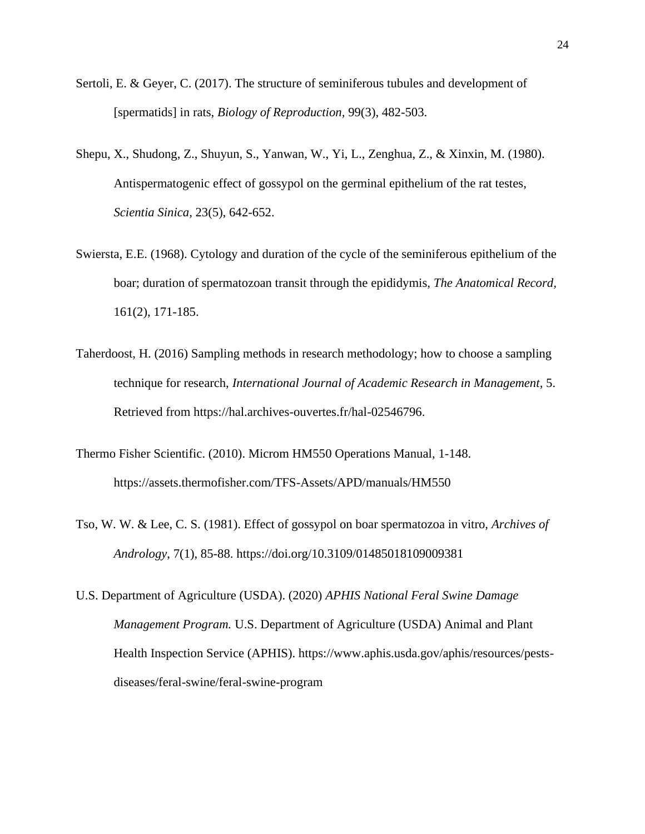- Sertoli, E. & Geyer, C. (2017). The structure of seminiferous tubules and development of [spermatids] in rats, *Biology of Reproduction,* 99(3), 482-503.
- Shepu, X., Shudong, Z., Shuyun, S., Yanwan, W., Yi, L., Zenghua, Z., & Xinxin, M. (1980). Antispermatogenic effect of gossypol on the germinal epithelium of the rat testes, *Scientia Sinica,* 23(5), 642-652.
- Swiersta, E.E. (1968). Cytology and duration of the cycle of the seminiferous epithelium of the boar; duration of spermatozoan transit through the epididymis, *The Anatomical Record,*  161(2), 171-185.
- Taherdoost, H. (2016) Sampling methods in research methodology; how to choose a sampling technique for research, *International Journal of Academic Research in Management*, 5. Retrieved from https://hal.archives-ouvertes.fr/hal-02546796.
- Thermo Fisher Scientific. (2010). Microm HM550 Operations Manual, 1-148. https://assets.thermofisher.com/TFS-Assets/APD/manuals/HM550
- Tso, W. W. & Lee, C. S. (1981). Effect of gossypol on boar spermatozoa in vitro, *Archives of Andrology*, 7(1), 85-88. https://doi.org/10.3109/01485018109009381
- U.S. Department of Agriculture (USDA). (2020) *APHIS National Feral Swine Damage Management Program.* U.S. Department of Agriculture (USDA) Animal and Plant Health Inspection Service (APHIS). https://www.aphis.usda.gov/aphis/resources/pestsdiseases/feral-swine/feral-swine-program